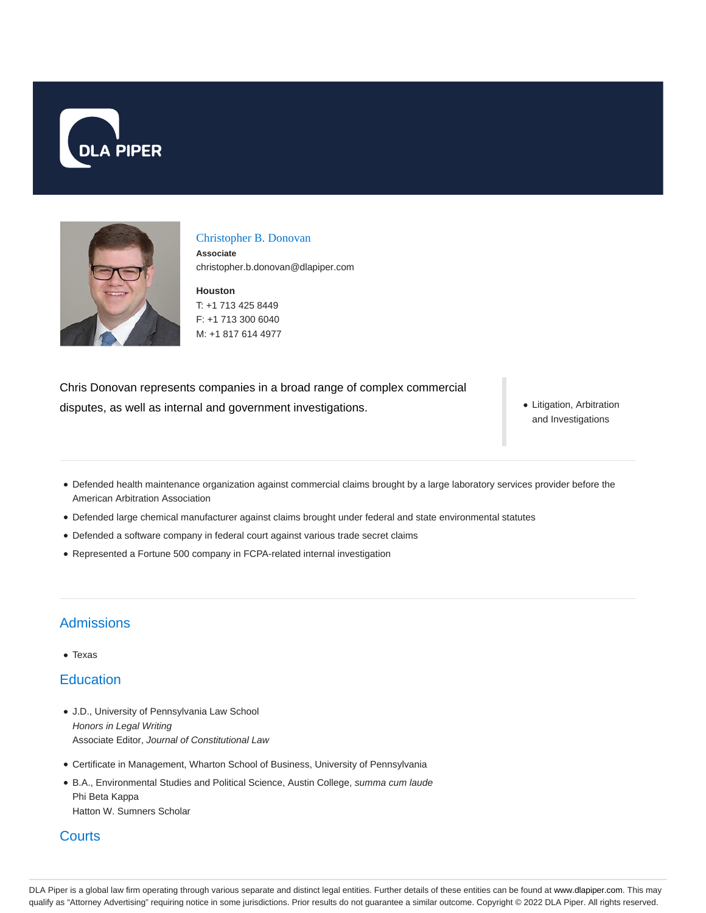



Christopher B. Donovan **Associate** christopher.b.donovan@dlapiper.com

**Houston** T: +1 713 425 8449 F: +1 713 300 6040 M: +1 817 614 4977

Chris Donovan represents companies in a broad range of complex commercial disputes, as well as internal and government investigations.

• Litigation, Arbitration and Investigations

- Defended health maintenance organization against commercial claims brought by a large laboratory services provider before the American Arbitration Association
- Defended large chemical manufacturer against claims brought under federal and state environmental statutes
- Defended a software company in federal court against various trade secret claims
- Represented a Fortune 500 company in FCPA-related internal investigation

## **Admissions**

• Texas

## **Education**

- J.D., University of Pennsylvania Law School Honors in Legal Writing Associate Editor, Journal of Constitutional Law
- Certificate in Management, Wharton School of Business, University of Pennsylvania
- B.A., Environmental Studies and Political Science, Austin College, summa cum laude Phi Beta Kappa Hatton W. Sumners Scholar

## **Courts**

DLA Piper is a global law firm operating through various separate and distinct legal entities. Further details of these entities can be found at www.dlapiper.com. This may qualify as "Attorney Advertising" requiring notice in some jurisdictions. Prior results do not guarantee a similar outcome. Copyright © 2022 DLA Piper. All rights reserved.